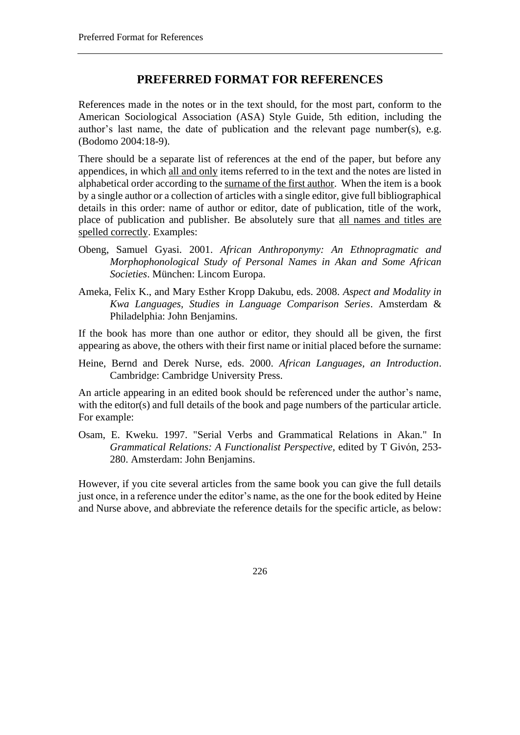## **PREFERRED FORMAT FOR REFERENCES**

References made in the notes or in the text should, for the most part, conform to the American Sociological Association (ASA) Style Guide, 5th edition, including the author's last name, the date of publication and the relevant page number(s), e.g. (Bodomo 2004:18-9).

There should be a separate list of references at the end of the paper, but before any appendices, in which all and only items referred to in the text and the notes are listed in alphabetical order according to the surname of the first author. When the item is a book by a single author or a collection of articles with a single editor, give full bibliographical details in this order: name of author or editor, date of publication, title of the work, place of publication and publisher. Be absolutely sure that all names and titles are spelled correctly. Examples:

- Obeng, Samuel Gyasi. 2001. *African Anthroponymy: An Ethnopragmatic and Morphophonological Study of Personal Names in Akan and Some African Societies*. München: Lincom Europa.
- Ameka, Felix K., and Mary Esther Kropp Dakubu, eds. 2008. *Aspect and Modality in Kwa Languages, Studies in Language Comparison Series*. Amsterdam & Philadelphia: John Benjamins.

If the book has more than one author or editor, they should all be given, the first appearing as above, the others with their first name or initial placed before the surname:

Heine, Bernd and Derek Nurse, eds. 2000. *African Languages, an Introduction*. Cambridge: Cambridge University Press.

An article appearing in an edited book should be referenced under the author's name, with the editor(s) and full details of the book and page numbers of the particular article. For example:

Osam, E. Kweku. 1997. "Serial Verbs and Grammatical Relations in Akan." In *Grammatical Relations: A Functionalist Perspective*, edited by T Givón, 253- 280. Amsterdam: John Benjamins.

However, if you cite several articles from the same book you can give the full details just once, in a reference under the editor's name, as the one for the book edited by Heine and Nurse above, and abbreviate the reference details for the specific article, as below:

226